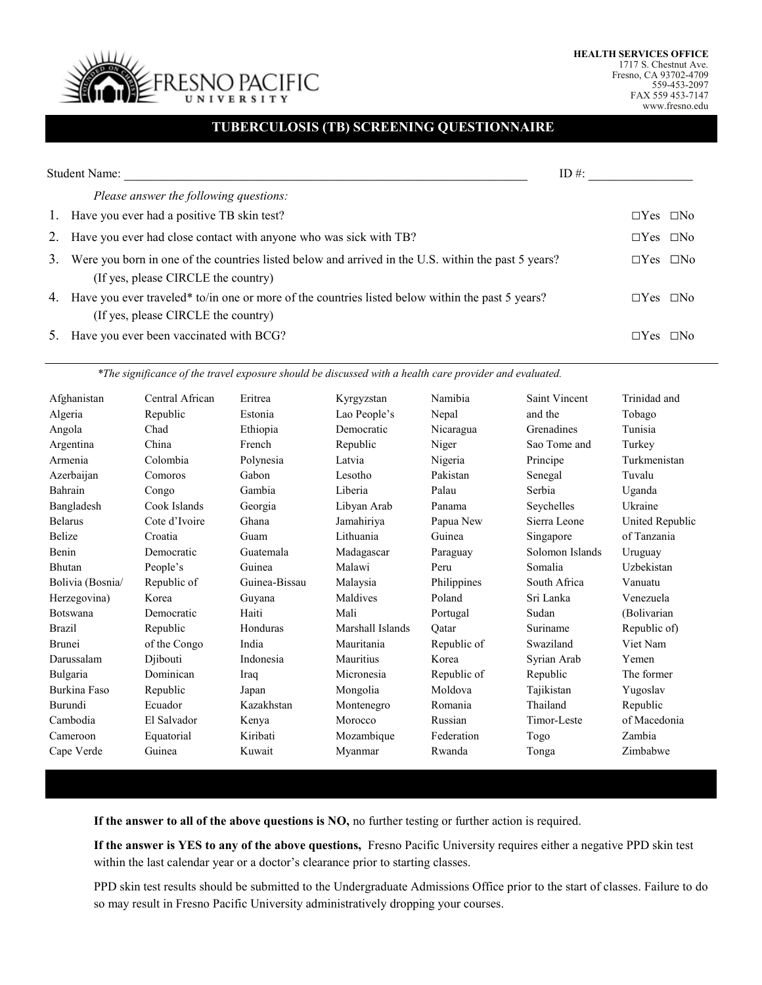

1717 S. Chestnut Ave. Fresno, CA 93702-4709 559-453-2097 FAX 559 453-7147 www.fresno.edu

## **TUBERCULOSIS (TB) SCREENING QUESTIONNAIRE**

|    | <b>Student Name:</b>                                                                                                                       | ID #:                |  |
|----|--------------------------------------------------------------------------------------------------------------------------------------------|----------------------|--|
|    | Please answer the following questions:                                                                                                     |                      |  |
| 1. | Have you ever had a positive TB skin test?                                                                                                 | $\Box$ Yes $\Box$ No |  |
| 2. | Have you ever had close contact with anyone who was sick with TB?                                                                          | $\Box$ Yes $\Box$ No |  |
| 3. | Were you born in one of the countries listed below and arrived in the U.S. within the past 5 years?<br>(If yes, please CIRCLE the country) | $\Box$ Yes $\Box$ No |  |
|    | 4. Have you ever traveled* to/in one or more of the countries listed below within the past 5 years?<br>(If yes, please CIRCLE the country) | $\Box$ Yes $\Box$ No |  |
| 5. | Have you ever been vaccinated with BCG?                                                                                                    | $\Box$ Yes $\Box$ No |  |

*\*The significance of the travel exposure should be discussed with a health care provider and evaluated.* 

| Afghanistan      | Central African | Eritrea       | Kyrgyzstan       | Namibia     | <b>Saint Vincent</b> | Trinidad and    |
|------------------|-----------------|---------------|------------------|-------------|----------------------|-----------------|
| Algeria          | Republic        | Estonia       | Lao People's     | Nepal       | and the              | Tobago          |
| Angola           | Chad            | Ethiopia      | Democratic       | Nicaragua   | Grenadines           | Tunisia         |
| Argentina        | China           | French        | Republic         | Niger       | Sao Tome and         | Turkey          |
| Armenia          | Colombia        | Polynesia     | Latvia           | Nigeria     | Principe             | Turkmenistan    |
| Azerbaijan       | Comoros         | Gabon         | Lesotho          | Pakistan    | Senegal              | Tuvalu          |
| Bahrain          | Congo           | Gambia        | Liberia          | Palau       | Serbia               | Uganda          |
| Bangladesh       | Cook Islands    | Georgia       | Libyan Arab      | Panama      | Seychelles           | Ukraine         |
| <b>Belarus</b>   | Cote d'Ivoire   | Ghana         | Jamahiriya       | Papua New   | Sierra Leone         | United Republic |
| <b>Belize</b>    | Croatia         | Guam          | Lithuania        | Guinea      | Singapore            | of Tanzania     |
| Benin            | Democratic      | Guatemala     | Madagascar       | Paraguay    | Solomon Islands      | Uruguay         |
| Bhutan           | People's        | Guinea        | Malawi           | Peru        | Somalia              | Uzbekistan      |
| Bolivia (Bosnia/ | Republic of     | Guinea-Bissau | Malaysia         | Philippines | South Africa         | Vanuatu         |
| Herzegovina)     | Korea           | Guyana        | Maldives         | Poland      | Sri Lanka            | Venezuela       |
| Botswana         | Democratic      | Haiti         | Mali             | Portugal    | Sudan                | (Bolivarian     |
| <b>Brazil</b>    | Republic        | Honduras      | Marshall Islands | Oatar       | Suriname             | Republic of)    |
| <b>Brunei</b>    | of the Congo    | India         | Mauritania       | Republic of | Swaziland            | Viet Nam        |
| Darussalam       | Djibouti        | Indonesia     | Mauritius        | Korea       | Syrian Arab          | Yemen           |
| Bulgaria         | Dominican       | Iraq          | Micronesia       | Republic of | Republic             | The former      |
| Burkina Faso     | Republic        | Japan         | Mongolia         | Moldova     | Tajikistan           | Yugoslav        |
| Burundi          | Ecuador         | Kazakhstan    | Montenegro       | Romania     | Thailand             | Republic        |
| Cambodia         | El Salvador     | Kenya         | Morocco          | Russian     | Timor-Leste          | of Macedonia    |
| Cameroon         | Equatorial      | Kiribati      | Mozambique       | Federation  | Togo                 | Zambia          |
| Cape Verde       | Guinea          | Kuwait        | Myanmar          | Rwanda      | Tonga                | Zimbabwe        |

**If the answer to all of the above questions is NO,** no further testing or further action is required.

**If the answer is YES to any of the above questions,** Fresno Pacific University requires either a negative PPD skin test within the last calendar year or a doctor's clearance prior to starting classes.

PPD skin test results should be submitted to the Undergraduate Admissions Office prior to the start of classes. Failure to do so may result in Fresno Pacific University administratively dropping your courses.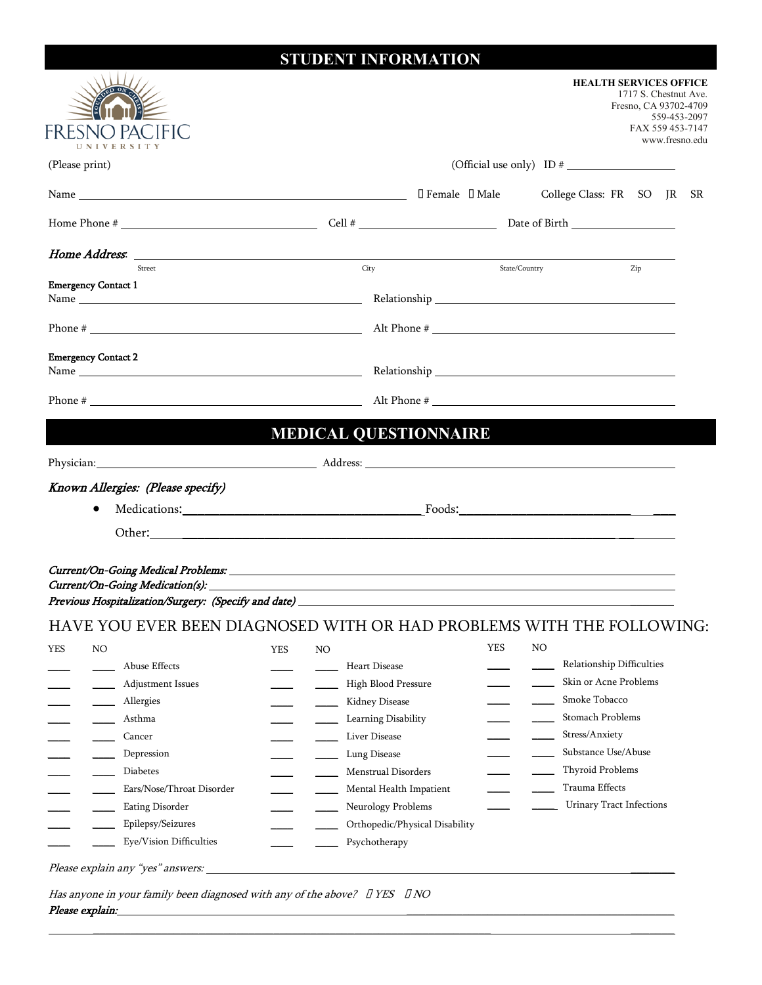# **STUDENT INFORMATION**

| FRESI<br>UNIVERSITY                  |                                                                                                                                                                                                                                |            |    |                                       | <b>HEALTH SERVICES OFFICE</b><br>1717 S. Chestnut Ave.<br>Fresno, CA 93702-4709<br>559-453-2097<br>FAX 559 453-7147<br>www.fresno.edu |                                                    |     |  |     |  |
|--------------------------------------|--------------------------------------------------------------------------------------------------------------------------------------------------------------------------------------------------------------------------------|------------|----|---------------------------------------|---------------------------------------------------------------------------------------------------------------------------------------|----------------------------------------------------|-----|--|-----|--|
| (Please print)                       |                                                                                                                                                                                                                                |            |    |                                       |                                                                                                                                       |                                                    |     |  |     |  |
|                                      |                                                                                                                                                                                                                                |            |    |                                       | $\Box$ Female $\Box$ Male                                                                                                             | College Class: FR SO JR                            |     |  | SR. |  |
|                                      |                                                                                                                                                                                                                                |            |    |                                       |                                                                                                                                       |                                                    |     |  |     |  |
|                                      |                                                                                                                                                                                                                                |            |    | City                                  |                                                                                                                                       |                                                    |     |  |     |  |
| Street<br><b>Emergency Contact 1</b> |                                                                                                                                                                                                                                |            |    |                                       |                                                                                                                                       | State/Country                                      | Zip |  |     |  |
|                                      |                                                                                                                                                                                                                                |            |    |                                       |                                                                                                                                       | Alt Phone #                                        |     |  |     |  |
|                                      |                                                                                                                                                                                                                                |            |    |                                       |                                                                                                                                       |                                                    |     |  |     |  |
| <b>Emergency Contact 2</b>           |                                                                                                                                                                                                                                |            |    |                                       |                                                                                                                                       |                                                    |     |  |     |  |
|                                      |                                                                                                                                                                                                                                |            |    |                                       |                                                                                                                                       |                                                    |     |  |     |  |
|                                      |                                                                                                                                                                                                                                |            |    | <b>MEDICAL QUESTIONNAIRE</b>          |                                                                                                                                       |                                                    |     |  |     |  |
|                                      | Physician: Address: Address: Address: Address: Address: Address: Address: Address: Address: Address: Address: Address: Address: Address: Address: Address: Address: Address: Address: Address: Address: Address: Address: Addr |            |    |                                       |                                                                                                                                       |                                                    |     |  |     |  |
| Known Allergies: (Please specify)    |                                                                                                                                                                                                                                |            |    |                                       |                                                                                                                                       |                                                    |     |  |     |  |
| $\bullet$                            |                                                                                                                                                                                                                                |            |    |                                       |                                                                                                                                       |                                                    |     |  |     |  |
|                                      |                                                                                                                                                                                                                                |            |    |                                       |                                                                                                                                       |                                                    |     |  |     |  |
|                                      |                                                                                                                                                                                                                                |            |    |                                       |                                                                                                                                       |                                                    |     |  |     |  |
|                                      | HAVE YOU EVER BEEN DIAGNOSED WITH OR HAD PROBLEMS WITH THE FOLLOWING:                                                                                                                                                          |            |    |                                       |                                                                                                                                       |                                                    |     |  |     |  |
| <b>YES</b><br>NO                     |                                                                                                                                                                                                                                | <b>YES</b> | NO |                                       | <b>YES</b>                                                                                                                            | NO                                                 |     |  |     |  |
| Abuse Effects                        |                                                                                                                                                                                                                                |            |    | Heart Disease                         |                                                                                                                                       | Relationship Difficulties<br>Skin or Acne Problems |     |  |     |  |
| Allergies                            | Adjustment Issues                                                                                                                                                                                                              |            |    | High Blood Pressure<br>Kidney Disease |                                                                                                                                       | Smoke Tobacco                                      |     |  |     |  |
| Asthma                               |                                                                                                                                                                                                                                |            |    | Learning Disability                   |                                                                                                                                       | Stomach Problems                                   |     |  |     |  |
| Cancer                               |                                                                                                                                                                                                                                |            |    | Liver Disease                         |                                                                                                                                       | Stress/Anxiety                                     |     |  |     |  |
| Depression                           |                                                                                                                                                                                                                                |            |    | Lung Disease                          |                                                                                                                                       | Substance Use/Abuse                                |     |  |     |  |
| Diabetes                             |                                                                                                                                                                                                                                |            |    | Menstrual Disorders                   |                                                                                                                                       | <b>Thyroid Problems</b>                            |     |  |     |  |
|                                      | Ears/Nose/Throat Disorder                                                                                                                                                                                                      |            |    | Mental Health Impatient               |                                                                                                                                       | Trauma Effects                                     |     |  |     |  |
|                                      | Eating Disorder                                                                                                                                                                                                                |            |    | Neurology Problems                    |                                                                                                                                       | <b>Urinary Tract Infections</b>                    |     |  |     |  |
|                                      | Epilepsy/Seizures                                                                                                                                                                                                              |            |    | Orthopedic/Physical Disability        |                                                                                                                                       |                                                    |     |  |     |  |
|                                      | Eye/Vision Difficulties                                                                                                                                                                                                        |            |    | Psychotherapy                         |                                                                                                                                       |                                                    |     |  |     |  |
| Please explain any "yes" answers:    |                                                                                                                                                                                                                                |            |    |                                       |                                                                                                                                       |                                                    |     |  |     |  |
| Please explain:                      | Has anyone in your family been diagnosed with any of the above? $\Box$ YES $\Box$ NO                                                                                                                                           |            |    |                                       |                                                                                                                                       |                                                    |     |  |     |  |